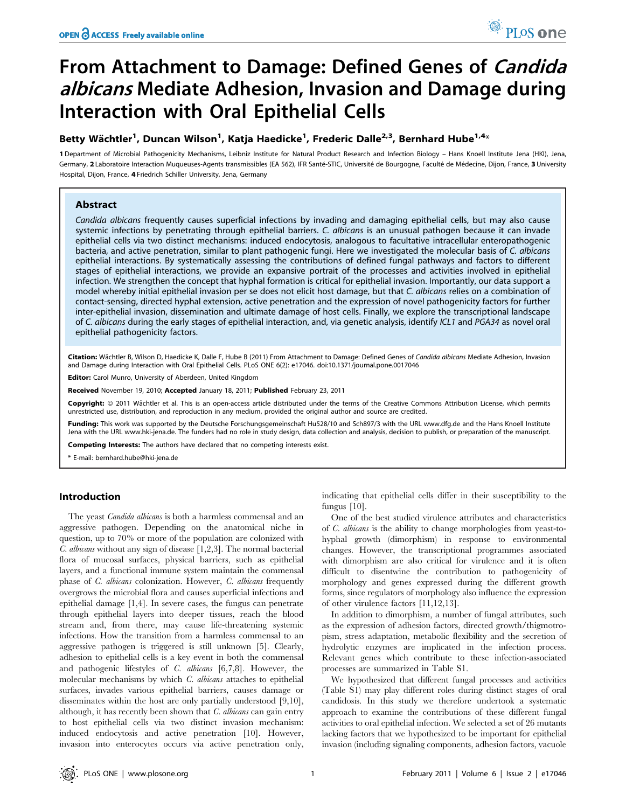# From Attachment to Damage: Defined Genes of Candida albicans Mediate Adhesion, Invasion and Damage during Interaction with Oral Epithelial Cells

# Betty Wächtler<sup>1</sup>, Duncan Wilson<sup>1</sup>, Katja Haedicke<sup>1</sup>, Frederic Dalle<sup>2,3</sup>, Bernhard Hube<sup>1,4</sup>\*

1 Department of Microbial Pathogenicity Mechanisms, Leibniz Institute for Natural Product Research and Infection Biology – Hans Knoell Institute Jena (HKI), Jena, Germany, 2 Laboratoire Interaction Muqueuses-Agents transmissibles (EA 562), IFR Santé-STIC, Université de Bourgogne, Faculté de Médecine, Dijon, France, 3 University Hospital, Dijon, France, 4 Friedrich Schiller University, Jena, Germany

# Abstract

Candida albicans frequently causes superficial infections by invading and damaging epithelial cells, but may also cause systemic infections by penetrating through epithelial barriers. C. albicans is an unusual pathogen because it can invade epithelial cells via two distinct mechanisms: induced endocytosis, analogous to facultative intracellular enteropathogenic bacteria, and active penetration, similar to plant pathogenic fungi. Here we investigated the molecular basis of C. albicans epithelial interactions. By systematically assessing the contributions of defined fungal pathways and factors to different stages of epithelial interactions, we provide an expansive portrait of the processes and activities involved in epithelial infection. We strengthen the concept that hyphal formation is critical for epithelial invasion. Importantly, our data support a model whereby initial epithelial invasion per se does not elicit host damage, but that C. albicans relies on a combination of contact-sensing, directed hyphal extension, active penetration and the expression of novel pathogenicity factors for further inter-epithelial invasion, dissemination and ultimate damage of host cells. Finally, we explore the transcriptional landscape of C. albicans during the early stages of epithelial interaction, and, via genetic analysis, identify ICL1 and PGA34 as novel oral epithelial pathogenicity factors.

Citation: Wächtler B, Wilson D, Haedicke K, Dalle F, Hube B (2011) From Attachment to Damage: Defined Genes of Candida albicans Mediate Adhesion, Invasion and Damage during Interaction with Oral Epithelial Cells. PLoS ONE 6(2): e17046. doi:10.1371/journal.pone.0017046

Editor: Carol Munro, University of Aberdeen, United Kingdom

Received November 19, 2010; Accepted January 18, 2011; Published February 23, 2011

Copyright: © 2011 Wächtler et al. This is an open-access article distributed under the terms of the Creative Commons Attribution License, which permits unrestricted use, distribution, and reproduction in any medium, provided the original author and source are credited.

Funding: This work was supported by the Deutsche Forschungsgemeinschaft Hu528/10 and Sch897/3 with the URL www.dfg.de and the Hans Knoell Institute Jena with the URL www.hki-jena.de. The funders had no role in study design, data collection and analysis, decision to publish, or preparation of the manuscript.

Competing Interests: The authors have declared that no competing interests exist.

\* E-mail: bernhard.hube@hki-jena.de

## Introduction

The yeast *Candida albicans* is both a harmless commensal and an aggressive pathogen. Depending on the anatomical niche in question, up to 70% or more of the population are colonized with C. albicans without any sign of disease [1,2,3]. The normal bacterial flora of mucosal surfaces, physical barriers, such as epithelial layers, and a functional immune system maintain the commensal phase of C. albicans colonization. However, C. albicans frequently overgrows the microbial flora and causes superficial infections and epithelial damage [1,4]. In severe cases, the fungus can penetrate through epithelial layers into deeper tissues, reach the blood stream and, from there, may cause life-threatening systemic infections. How the transition from a harmless commensal to an aggressive pathogen is triggered is still unknown [5]. Clearly, adhesion to epithelial cells is a key event in both the commensal and pathogenic lifestyles of C. albicans [6,7,8]. However, the molecular mechanisms by which C. albicans attaches to epithelial surfaces, invades various epithelial barriers, causes damage or disseminates within the host are only partially understood [9,10], although, it has recently been shown that  $C$ . albicans can gain entry to host epithelial cells via two distinct invasion mechanism: induced endocytosis and active penetration [10]. However, invasion into enterocytes occurs via active penetration only,

indicating that epithelial cells differ in their susceptibility to the fungus [10].

One of the best studied virulence attributes and characteristics of C. albicans is the ability to change morphologies from yeast-tohyphal growth (dimorphism) in response to environmental changes. However, the transcriptional programmes associated with dimorphism are also critical for virulence and it is often difficult to disentwine the contribution to pathogenicity of morphology and genes expressed during the different growth forms, since regulators of morphology also influence the expression of other virulence factors [11,12,13].

In addition to dimorphism, a number of fungal attributes, such as the expression of adhesion factors, directed growth/thigmotropism, stress adaptation, metabolic flexibility and the secretion of hydrolytic enzymes are implicated in the infection process. Relevant genes which contribute to these infection-associated processes are summarized in Table S1.

We hypothesized that different fungal processes and activities (Table S1) may play different roles during distinct stages of oral candidosis. In this study we therefore undertook a systematic approach to examine the contributions of these different fungal activities to oral epithelial infection. We selected a set of 26 mutants lacking factors that we hypothesized to be important for epithelial invasion (including signaling components, adhesion factors, vacuole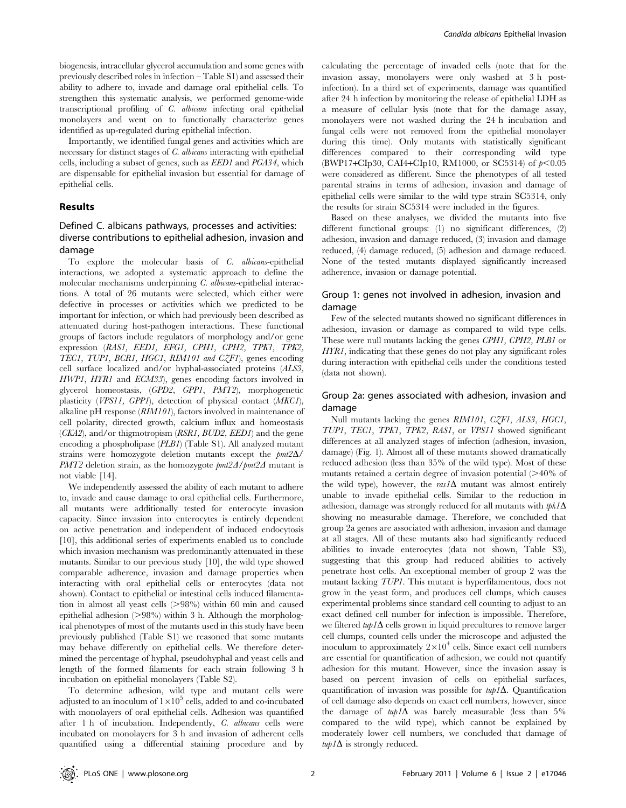biogenesis, intracellular glycerol accumulation and some genes with previously described roles in infection – Table S1) and assessed their ability to adhere to, invade and damage oral epithelial cells. To strengthen this systematic analysis, we performed genome-wide transcriptional profiling of C. albicans infecting oral epithelial monolayers and went on to functionally characterize genes identified as up-regulated during epithelial infection.

Importantly, we identified fungal genes and activities which are necessary for distinct stages of C. albicans interacting with epithelial cells, including a subset of genes, such as EED1 and PGA34, which are dispensable for epithelial invasion but essential for damage of epithelial cells.

## Results

## Defined C. albicans pathways, processes and activities: diverse contributions to epithelial adhesion, invasion and damage

To explore the molecular basis of C. albicans-epithelial interactions, we adopted a systematic approach to define the molecular mechanisms underpinning C. albicans-epithelial interactions. A total of 26 mutants were selected, which either were defective in processes or activities which we predicted to be important for infection, or which had previously been described as attenuated during host-pathogen interactions. These functional groups of factors include regulators of morphology and/or gene expression (RAS1, EED1, EFG1, CPH1, CPH2, TPK1, TPK2, TEC1, TUP1, BCR1, HGC1, RIM101 and CZF1), genes encoding cell surface localized and/or hyphal-associated proteins (ALS3, HWP1, HYR1 and ECM33), genes encoding factors involved in glycerol homeostasis, (GPD2, GPP1, PMT2), morphogenetic plasticity (VPS11, GPP1), detection of physical contact (MKC1), alkaline pH response (RIM101), factors involved in maintenance of cell polarity, directed growth, calcium influx and homeostasis  $(CK42)$ , and/or thigmotropism  $(RSRI, BUD2, EEDI)$  and the gene encoding a phospholipase (PLB1) (Table S1). All analyzed mutant strains were homozygote deletion mutants except the  $pm2\Delta$ / *PMT2* deletion strain, as the homozygote  $\frac{pm2\Delta}{pm2\Delta}$  mutant is not viable [14].

We independently assessed the ability of each mutant to adhere to, invade and cause damage to oral epithelial cells. Furthermore, all mutants were additionally tested for enterocyte invasion capacity. Since invasion into enterocytes is entirely dependent on active penetration and independent of induced endocytosis [10], this additional series of experiments enabled us to conclude which invasion mechanism was predominantly attenuated in these mutants. Similar to our previous study [10], the wild type showed comparable adherence, invasion and damage properties when interacting with oral epithelial cells or enterocytes (data not shown). Contact to epithelial or intestinal cells induced filamentation in almost all yeast cells  $(>98%)$  within 60 min and caused epithelial adhesion  $(>98\%)$  within 3 h. Although the morphological phenotypes of most of the mutants used in this study have been previously published (Table S1) we reasoned that some mutants may behave differently on epithelial cells. We therefore determined the percentage of hyphal, pseudohyphal and yeast cells and length of the formed filaments for each strain following 3 h incubation on epithelial monolayers (Table S2).

To determine adhesion, wild type and mutant cells were adjusted to an inoculum of  $1\times10^5$  cells, added to and co-incubated with monolayers of oral epithelial cells. Adhesion was quantified after 1 h of incubation. Independently, C. albicans cells were incubated on monolayers for 3 h and invasion of adherent cells quantified using a differential staining procedure and by calculating the percentage of invaded cells (note that for the invasion assay, monolayers were only washed at 3 h postinfection). In a third set of experiments, damage was quantified after 24 h infection by monitoring the release of epithelial LDH as a measure of cellular lysis (note that for the damage assay, monolayers were not washed during the 24 h incubation and fungal cells were not removed from the epithelial monolayer during this time). Only mutants with statistically significant differences compared to their corresponding wild type (BWP17+CIp30, CAI4+CIp10, RM1000, or SC5314) of  $p<0.05$ were considered as different. Since the phenotypes of all tested parental strains in terms of adhesion, invasion and damage of epithelial cells were similar to the wild type strain SC5314, only the results for strain SC5314 were included in the figures.

Based on these analyses, we divided the mutants into five different functional groups: (1) no significant differences, (2) adhesion, invasion and damage reduced, (3) invasion and damage reduced, (4) damage reduced, (5) adhesion and damage reduced. None of the tested mutants displayed significantly increased adherence, invasion or damage potential.

## Group 1: genes not involved in adhesion, invasion and damage

Few of the selected mutants showed no significant differences in adhesion, invasion or damage as compared to wild type cells. These were null mutants lacking the genes CPH1, CPH2, PLB1 or HYR1, indicating that these genes do not play any significant roles during interaction with epithelial cells under the conditions tested (data not shown).

## Group 2a: genes associated with adhesion, invasion and damage

Null mutants lacking the genes RIM101, CZF1, ALS3, HGC1, TUP1, TEC1, TPK1, TPK2, RAS1, or VPS11 showed significant differences at all analyzed stages of infection (adhesion, invasion, damage) (Fig. 1). Almost all of these mutants showed dramatically reduced adhesion (less than 35% of the wild type). Most of these mutants retained a certain degree of invasion potential  $(>= 40\%$  of the wild type), however, the  $ras1\Delta$  mutant was almost entirely unable to invade epithelial cells. Similar to the reduction in adhesion, damage was strongly reduced for all mutants with  $tpk1\Delta$ showing no measurable damage. Therefore, we concluded that group 2a genes are associated with adhesion, invasion and damage at all stages. All of these mutants also had significantly reduced abilities to invade enterocytes (data not shown, Table S3), suggesting that this group had reduced abilities to actively penetrate host cells. An exceptional member of group 2 was the mutant lacking TUP1. This mutant is hyperfilamentous, does not grow in the yeast form, and produces cell clumps, which causes experimental problems since standard cell counting to adjust to an exact defined cell number for infection is impossible. Therefore, we filtered  $turb1\Delta$  cells grown in liquid precultures to remove larger cell clumps, counted cells under the microscope and adjusted the inoculum to approximately  $2\times10^4$  cells. Since exact cell numbers are essential for quantification of adhesion, we could not quantify adhesion for this mutant. However, since the invasion assay is based on percent invasion of cells on epithelial surfaces, quantification of invasion was possible for  $turb1\Delta$ . Quantification of cell damage also depends on exact cell numbers, however, since the damage of  $turb1\Delta$  was barely measurable (less than 5% compared to the wild type), which cannot be explained by moderately lower cell numbers, we concluded that damage of  $turb1\Delta$  is strongly reduced.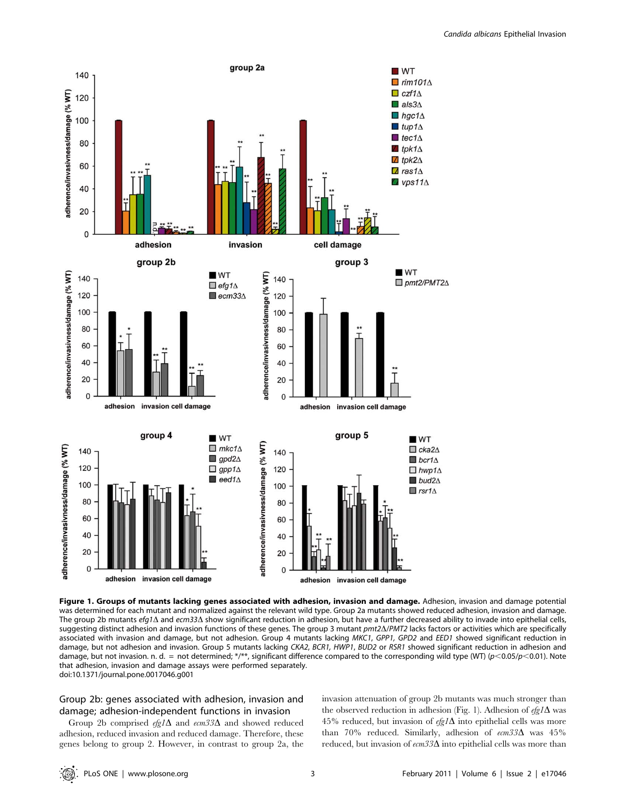

Figure 1. Groups of mutants lacking genes associated with adhesion, invasion and damage. Adhesion, invasion and damage potential was determined for each mutant and normalized against the relevant wild type. Group 2a mutants showed reduced adhesion, invasion and damage. The group 2b mutants efg1 $\Delta$  and ecm33 $\Delta$  show significant reduction in adhesion, but have a further decreased ability to invade into epithelial cells, suggesting distinct adhesion and invasion functions of these genes. The group 3 mutant pmt2 $\Delta$ /PMT2 lacks factors or activities which are specifically associated with invasion and damage, but not adhesion. Group 4 mutants lacking MKC1, GPP1, GPD2 and EED1 showed significant reduction in damage, but not adhesion and invasion. Group 5 mutants lacking CKA2, BCR1, HWP1, BUD2 or RSR1 showed significant reduction in adhesion and damage, but not invasion. n. d. = not determined; \*/\*\*, significant difference compared to the corresponding wild type (WT) (p<0.05/p<0.01). Note that adhesion, invasion and damage assays were performed separately. doi:10.1371/journal.pone.0017046.g001

## Group 2b: genes associated with adhesion, invasion and damage; adhesion-independent functions in invasion

Group 2b comprised  $efg1\Delta$  and  $ecm33\Delta$  and showed reduced adhesion, reduced invasion and reduced damage. Therefore, these genes belong to group 2. However, in contrast to group 2a, the invasion attenuation of group 2b mutants was much stronger than the observed reduction in adhesion (Fig. 1). Adhesion of  $\epsilon f g I \Delta$  was 45% reduced, but invasion of  $\epsilon f g I \Delta$  into epithelial cells was more than 70% reduced. Similarly, adhesion of  $\text{em33}\Delta$  was 45% reduced, but invasion of  $\epsilon$ cm33 $\Delta$  into epithelial cells was more than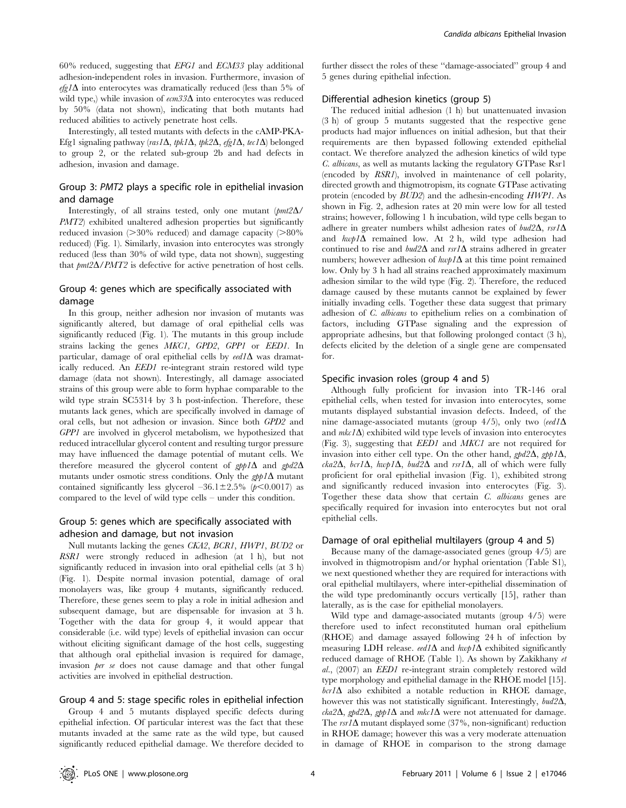60% reduced, suggesting that EFG1 and ECM33 play additional adhesion-independent roles in invasion. Furthermore, invasion of  $efg1\Delta$  into enterocytes was dramatically reduced (less than 5% of wild type,) while invasion of  $\epsilon$ cm33 $\Delta$  into enterocytes was reduced by 50% (data not shown), indicating that both mutants had reduced abilities to actively penetrate host cells.

Interestingly, all tested mutants with defects in the cAMP-PKA-Efg1 signaling pathway (ras1 $\Delta$ , tpk1 $\Delta$ , tpk2 $\Delta$ , efg1 $\Delta$ , tec1 $\Delta$ ) belonged to group 2, or the related sub-group 2b and had defects in adhesion, invasion and damage.

## Group 3: PMT2 plays a specific role in epithelial invasion and damage

Interestingly, of all strains tested, only one mutant  $\frac{pm2\Delta}{}$ PMT2) exhibited unaltered adhesion properties but significantly reduced invasion  $(>30\%$  reduced) and damage capacity  $(>80\%$ reduced) (Fig. 1). Similarly, invasion into enterocytes was strongly reduced (less than 30% of wild type, data not shown), suggesting that  $pm2\Delta/PMT2$  is defective for active penetration of host cells.

## Group 4: genes which are specifically associated with damage

In this group, neither adhesion nor invasion of mutants was significantly altered, but damage of oral epithelial cells was significantly reduced (Fig. 1). The mutants in this group include strains lacking the genes MKC1, GPD2, GPP1 or EED1. In particular, damage of oral epithelial cells by  $\text{e}e d\Lambda$  was dramatically reduced. An EED1 re-integrant strain restored wild type damage (data not shown). Interestingly, all damage associated strains of this group were able to form hyphae comparable to the wild type strain SC5314 by 3 h post-infection. Therefore, these mutants lack genes, which are specifically involved in damage of oral cells, but not adhesion or invasion. Since both GPD2 and GPP1 are involved in glycerol metabolism, we hypothesized that reduced intracellular glycerol content and resulting turgor pressure may have influenced the damage potential of mutant cells. We therefore measured the glycerol content of  $gpp1\Delta$  and  $gpd2\Delta$ mutants under osmotic stress conditions. Only the  $gpp1\Delta$  mutant contained significantly less glycerol  $-36.1\pm2.5\%$  (p $\leq 0.0017$ ) as compared to the level of wild type cells – under this condition.

## Group 5: genes which are specifically associated with adhesion and damage, but not invasion

Null mutants lacking the genes CKA2, BCR1, HWP1, BUD2 or RSR1 were strongly reduced in adhesion (at 1 h), but not significantly reduced in invasion into oral epithelial cells (at 3 h) (Fig. 1). Despite normal invasion potential, damage of oral monolayers was, like group 4 mutants, significantly reduced. Therefore, these genes seem to play a role in initial adhesion and subsequent damage, but are dispensable for invasion at 3 h. Together with the data for group 4, it would appear that considerable (i.e. wild type) levels of epithelial invasion can occur without eliciting significant damage of the host cells, suggesting that although oral epithelial invasion is required for damage, invasion *ber se* does not cause damage and that other fungal activities are involved in epithelial destruction.

## Group 4 and 5: stage specific roles in epithelial infection

Group 4 and 5 mutants displayed specific defects during epithelial infection. Of particular interest was the fact that these mutants invaded at the same rate as the wild type, but caused significantly reduced epithelial damage. We therefore decided to further dissect the roles of these ''damage-associated'' group 4 and 5 genes during epithelial infection.

## Differential adhesion kinetics (group 5)

The reduced initial adhesion (1 h) but unattenuated invasion (3 h) of group 5 mutants suggested that the respective gene products had major influences on initial adhesion, but that their requirements are then bypassed following extended epithelial contact. We therefore analyzed the adhesion kinetics of wild type C. albicans, as well as mutants lacking the regulatory GTPase Rsr1 (encoded by RSR1), involved in maintenance of cell polarity, directed growth and thigmotropism, its cognate GTPase activating protein (encoded by BUD2) and the adhesin-encoding HWP1. As shown in Fig. 2, adhesion rates at 20 min were low for all tested strains; however, following 1 h incubation, wild type cells began to adhere in greater numbers whilst adhesion rates of  $bud2\Delta$ , rsr1 $\Delta$ and  $h\omega p/\Delta$  remained low. At 2 h, wild type adhesion had continued to rise and  $bud2\Delta$  and  $rsr/\Delta$  strains adhered in greater numbers; however adhesion of  $h w p I \Delta$  at this time point remained low. Only by 3 h had all strains reached approximately maximum adhesion similar to the wild type (Fig. 2). Therefore, the reduced damage caused by these mutants cannot be explained by fewer initially invading cells. Together these data suggest that primary adhesion of C. albicans to epithelium relies on a combination of factors, including GTPase signaling and the expression of appropriate adhesins, but that following prolonged contact (3 h), defects elicited by the deletion of a single gene are compensated for.

#### Specific invasion roles (group 4 and 5)

Although fully proficient for invasion into TR-146 oral epithelial cells, when tested for invasion into enterocytes, some mutants displayed substantial invasion defects. Indeed, of the nine damage-associated mutants (group  $4/5$ ), only two (eed1 $\Delta$ and  $mk\ell\Delta$ ) exhibited wild type levels of invasion into enterocytes (Fig. 3), suggesting that EED1 and MKC1 are not required for invasion into either cell type. On the other hand,  $\varphi d2\Delta$ ,  $\varphi \varphi d\Delta$ ,  $cka2\Delta$ ,  $bcr1\Delta$ ,  $hwp1\Delta$ ,  $bud2\Delta$  and  $rsr1\Delta$ , all of which were fully proficient for oral epithelial invasion (Fig. 1), exhibited strong and significantly reduced invasion into enterocytes (Fig. 3). Together these data show that certain C. albicans genes are specifically required for invasion into enterocytes but not oral epithelial cells.

#### Damage of oral epithelial multilayers (group 4 and 5)

Because many of the damage-associated genes (group 4/5) are involved in thigmotropism and/or hyphal orientation (Table S1), we next questioned whether they are required for interactions with oral epithelial multilayers, where inter-epithelial dissemination of the wild type predominantly occurs vertically [15], rather than laterally, as is the case for epithelial monolayers.

Wild type and damage-associated mutants (group 4/5) were therefore used to infect reconstituted human oral epithelium (RHOE) and damage assayed following 24 h of infection by measuring LDH release. eed1 $\Delta$  and hwp1 $\Delta$  exhibited significantly reduced damage of RHOE (Table 1). As shown by Zakikhany et al., (2007) an EED1 re-integrant strain completely restored wild type morphology and epithelial damage in the RHOE model [15].  $bcr1\Delta$  also exhibited a notable reduction in RHOE damage, however this was not statistically significant. Interestingly,  $bud2\Delta$ ,  $\kappa k$ a2 $\Delta$ , gpd2 $\Delta$ , gpp1 $\Delta$  and mkc1 $\Delta$  were not attenuated for damage. The  $rsr/\Delta$  mutant displayed some (37%, non-significant) reduction in RHOE damage; however this was a very moderate attenuation in damage of RHOE in comparison to the strong damage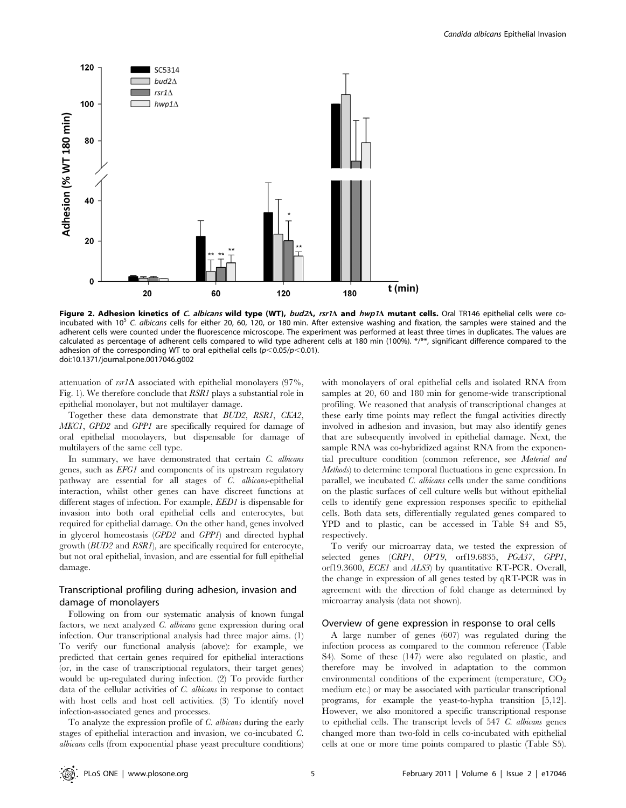

Figure 2. Adhesion kinetics of C. albicans wild type (WT), bud2 $\Delta$ , rsr1 $\Delta$  and hwp1 $\Delta$  mutant cells. Oral TR146 epithelial cells were coincubated with  $10<sup>5</sup>$  C. albicans cells for either 20, 60, 120, or 180 min. After extensive washing and fixation, the samples were stained and the adherent cells were counted under the fluorescence microscope. The experiment was performed at least three times in duplicates. The values are calculated as percentage of adherent cells compared to wild type adherent cells at 180 min (100%). \*/\*\*, significant difference compared to the adhesion of the corresponding WT to oral epithelial cells ( $p<0.05/p<0.01$ ). doi:10.1371/journal.pone.0017046.g002

attenuation of  $rsr/\Delta$  associated with epithelial monolayers (97%, Fig. 1). We therefore conclude that RSR1 plays a substantial role in epithelial monolayer, but not multilayer damage.

Together these data demonstrate that BUD2, RSR1, CKA2, MKC1, GPD2 and GPP1 are specifically required for damage of oral epithelial monolayers, but dispensable for damage of multilayers of the same cell type.

In summary, we have demonstrated that certain  $C$ . albicans genes, such as EFG1 and components of its upstream regulatory pathway are essential for all stages of C. albicans-epithelial interaction, whilst other genes can have discreet functions at different stages of infection. For example, EED1 is dispensable for invasion into both oral epithelial cells and enterocytes, but required for epithelial damage. On the other hand, genes involved in glycerol homeostasis (GPD2 and GPP1) and directed hyphal growth (BUD2 and RSR1), are specifically required for enterocyte, but not oral epithelial, invasion, and are essential for full epithelial damage.

## Transcriptional profiling during adhesion, invasion and damage of monolayers

Following on from our systematic analysis of known fungal factors, we next analyzed C. albicans gene expression during oral infection. Our transcriptional analysis had three major aims. (1) To verify our functional analysis (above): for example, we predicted that certain genes required for epithelial interactions (or, in the case of transcriptional regulators, their target genes) would be up-regulated during infection. (2) To provide further data of the cellular activities of C. albicans in response to contact with host cells and host cell activities. (3) To identify novel infection-associated genes and processes.

To analyze the expression profile of C. albicans during the early stages of epithelial interaction and invasion, we co-incubated C. albicans cells (from exponential phase yeast preculture conditions) with monolayers of oral epithelial cells and isolated RNA from samples at 20, 60 and 180 min for genome-wide transcriptional profiling. We reasoned that analysis of transcriptional changes at these early time points may reflect the fungal activities directly involved in adhesion and invasion, but may also identify genes that are subsequently involved in epithelial damage. Next, the sample RNA was co-hybridized against RNA from the exponential preculture condition (common reference, see Material and Methods) to determine temporal fluctuations in gene expression. In parallel, we incubated C. albicans cells under the same conditions on the plastic surfaces of cell culture wells but without epithelial cells to identify gene expression responses specific to epithelial cells. Both data sets, differentially regulated genes compared to YPD and to plastic, can be accessed in Table S4 and S5, respectively.

To verify our microarray data, we tested the expression of selected genes (CRP1, OPT9, orf19.6835, PGA37, GPP1, orf19.3600, ECE1 and ALS3) by quantitative RT-PCR. Overall, the change in expression of all genes tested by qRT-PCR was in agreement with the direction of fold change as determined by microarray analysis (data not shown).

#### Overview of gene expression in response to oral cells

A large number of genes (607) was regulated during the infection process as compared to the common reference (Table S4). Some of these (147) were also regulated on plastic, and therefore may be involved in adaptation to the common environmental conditions of the experiment (temperature,  $CO<sub>2</sub>$ medium etc.) or may be associated with particular transcriptional programs, for example the yeast-to-hypha transition [5,12]. However, we also monitored a specific transcriptional response to epithelial cells. The transcript levels of 547 C. albicans genes changed more than two-fold in cells co-incubated with epithelial cells at one or more time points compared to plastic (Table S5).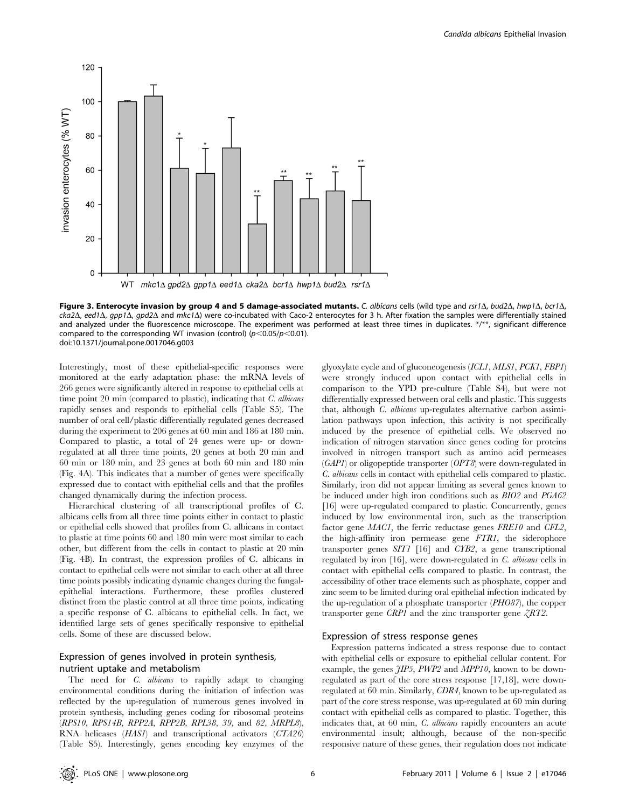

Figure 3. Enterocyte invasion by group 4 and 5 damage-associated mutants. C. albicans cells (wild type and rsr1 $\Delta$ , bud2 $\Delta$ , hwp1 $\Delta$ , bcr1 $\Delta$ ,  $cka2\Delta$ , eed1 $\Delta$ , app1 $\Delta$ , apd2 $\Delta$  and mkc1 $\Delta$ ) were co-incubated with Caco-2 enterocytes for 3 h. After fixation the samples were differentially stained and analyzed under the fluorescence microscope. The experiment was performed at least three times in duplicates. \*/\*\*, significant difference compared to the corresponding WT invasion (control)  $(p<0.05/p<0.01)$ . doi:10.1371/journal.pone.0017046.g003

Interestingly, most of these epithelial-specific responses were monitored at the early adaptation phase: the mRNA levels of 266 genes were significantly altered in response to epithelial cells at time point 20 min (compared to plastic), indicating that C. albicans rapidly senses and responds to epithelial cells (Table S5). The number of oral cell/plastic differentially regulated genes decreased during the experiment to 206 genes at 60 min and 186 at 180 min. Compared to plastic, a total of 24 genes were up- or downregulated at all three time points, 20 genes at both 20 min and 60 min or 180 min, and 23 genes at both 60 min and 180 min (Fig. 4A). This indicates that a number of genes were specifically expressed due to contact with epithelial cells and that the profiles changed dynamically during the infection process.

Hierarchical clustering of all transcriptional profiles of C. albicans cells from all three time points either in contact to plastic or epithelial cells showed that profiles from C. albicans in contact to plastic at time points 60 and 180 min were most similar to each other, but different from the cells in contact to plastic at 20 min (Fig. 4B). In contrast, the expression profiles of C. albicans in contact to epithelial cells were not similar to each other at all three time points possibly indicating dynamic changes during the fungalepithelial interactions. Furthermore, these profiles clustered distinct from the plastic control at all three time points, indicating a specific response of C. albicans to epithelial cells. In fact, we identified large sets of genes specifically responsive to epithelial cells. Some of these are discussed below.

## Expression of genes involved in protein synthesis, nutrient uptake and metabolism

The need for *C. albicans* to rapidly adapt to changing environmental conditions during the initiation of infection was reflected by the up-regulation of numerous genes involved in protein synthesis, including genes coding for ribosomal proteins (RPS10, RPS14B, RPP2A, RPP2B, RPL38, 39, and 82, MRPL8), RNA helicases (HAS1) and transcriptional activators (CTA26) (Table S5). Interestingly, genes encoding key enzymes of the

glyoxylate cycle and of gluconeogenesis (ICL1, MLS1, PCK1, FBP1) were strongly induced upon contact with epithelial cells in comparison to the YPD pre-culture (Table S4), but were not differentially expressed between oral cells and plastic. This suggests that, although C. albicans up-regulates alternative carbon assimilation pathways upon infection, this activity is not specifically induced by the presence of epithelial cells. We observed no indication of nitrogen starvation since genes coding for proteins involved in nitrogen transport such as amino acid permeases (GAP1) or oligopeptide transporter (OPT8) were down-regulated in C. albicans cells in contact with epithelial cells compared to plastic. Similarly, iron did not appear limiting as several genes known to be induced under high iron conditions such as BIO2 and PGA62 [16] were up-regulated compared to plastic. Concurrently, genes induced by low environmental iron, such as the transcription factor gene *MAC1*, the ferric reductase genes FRE10 and CFL2, the high-affinity iron permease gene FTR1, the siderophore transporter genes SIT1 [16] and CYB2, a gene transcriptional regulated by iron [16], were down-regulated in C. albicans cells in contact with epithelial cells compared to plastic. In contrast, the accessibility of other trace elements such as phosphate, copper and zinc seem to be limited during oral epithelial infection indicated by the up-regulation of a phosphate transporter (PHO87), the copper transporter gene CRP1 and the zinc transporter gene  $ZRT2$ .

### Expression of stress response genes

Expression patterns indicated a stress response due to contact with epithelial cells or exposure to epithelial cellular content. For example, the genes  $JIP5$ , PWP2 and MPP10, known to be downregulated as part of the core stress response [17,18], were downregulated at 60 min. Similarly, CDR4, known to be up-regulated as part of the core stress response, was up-regulated at 60 min during contact with epithelial cells as compared to plastic. Together, this indicates that, at 60 min, C. albicans rapidly encounters an acute environmental insult; although, because of the non-specific responsive nature of these genes, their regulation does not indicate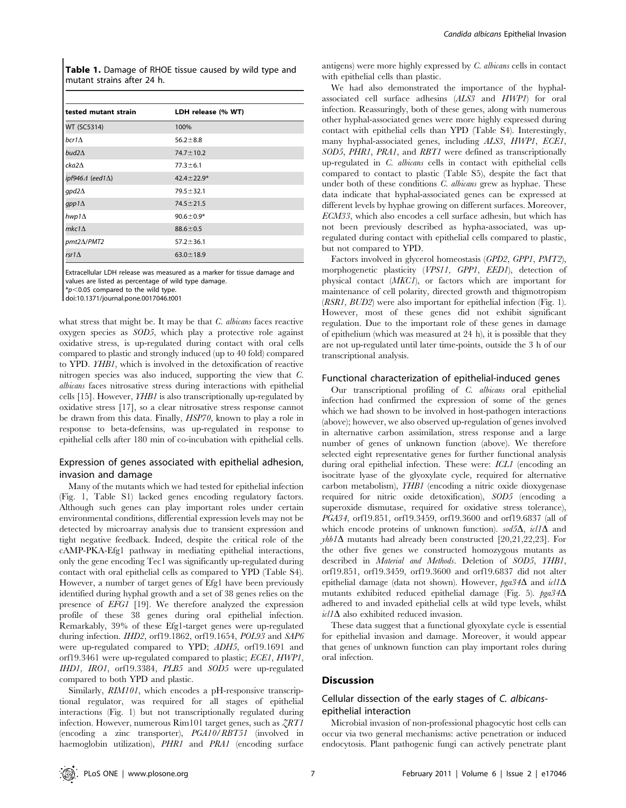Table 1. Damage of RHOE tissue caused by wild type and mutant strains after 24 h.

| tested mutant strain                | LDH release (% WT) |
|-------------------------------------|--------------------|
| WT (SC5314)                         | 100%               |
| $bcr1\Lambda$                       | $56.2 \pm 8.8$     |
| bud2 $\Delta$                       | $74.7 \pm 10.2$    |
| cka2 $\Delta$                       | $77.3 \pm 6.1$     |
| ipf946 $\varDelta$ (eed1 $\Delta$ ) | $42.4 \pm 22.9*$   |
| $qpd2\Delta$                        | $79.5 \pm 32.1$    |
| gpp1 $\Delta$                       | $74.5 \pm 21.5$    |
| hwp1 $\Delta$                       | $90.6 \pm 0.9*$    |
| $mkc1\Lambda$                       | $88.6 \pm 0.5$     |
| pmt2 $\Delta$ /PMT2                 | $57.2 \pm 36.1$    |
| rsr1 $\Delta$                       | $63.0 \pm 18.9$    |

Extracellular LDH release was measured as a marker for tissue damage and values are listed as percentage of wild type damage.

 $*p$ <0.05 compared to the wild type.

doi:10.1371/journal.pone.0017046.t001

what stress that might be. It may be that  $C$ . albicans faces reactive oxygen species as SOD5, which play a protective role against oxidative stress, is up-regulated during contact with oral cells compared to plastic and strongly induced (up to 40 fold) compared to YPD. YHB1, which is involved in the detoxification of reactive nitrogen species was also induced, supporting the view that C. albicans faces nitrosative stress during interactions with epithelial cells [15]. However,  $YHBI$  is also transcriptionally up-regulated by oxidative stress [17], so a clear nitrosative stress response cannot be drawn from this data. Finally, HSP70, known to play a role in response to beta-defensins, was up-regulated in response to epithelial cells after 180 min of co-incubation with epithelial cells.

## Expression of genes associated with epithelial adhesion, invasion and damage

Many of the mutants which we had tested for epithelial infection (Fig. 1, Table S1) lacked genes encoding regulatory factors. Although such genes can play important roles under certain environmental conditions, differential expression levels may not be detected by microarray analysis due to transient expression and tight negative feedback. Indeed, despite the critical role of the cAMP-PKA-Efg1 pathway in mediating epithelial interactions, only the gene encoding Tec1 was significantly up-regulated during contact with oral epithelial cells as compared to YPD (Table S4). However, a number of target genes of Efg1 have been previously identified during hyphal growth and a set of 38 genes relies on the presence of EFG1 [19]. We therefore analyzed the expression profile of these 38 genes during oral epithelial infection. Remarkably, 39% of these Efg1-target genes were up-regulated during infection. IHD2, orf19.1862, orf19.1654, POL93 and SAP6 were up-regulated compared to YPD; ADH5, orf19.1691 and orf19.3461 were up-regulated compared to plastic; ECE1, HWP1, IHD1, IRO1, orf19.3384, PLB5 and SOD5 were up-regulated compared to both YPD and plastic.

Similarly,  $RIM101$ , which encodes a pH-responsive transcriptional regulator, was required for all stages of epithelial interactions (Fig. 1) but not transcriptionally regulated during infection. However, numerous  $\text{Rim}101$  target genes, such as  $\sqrt{2RT1}$ (encoding a zinc transporter), PGA10/RBT51 (involved in haemoglobin utilization), PHR1 and PRA1 (encoding surface

antigens) were more highly expressed by C. albicans cells in contact with epithelial cells than plastic.

We had also demonstrated the importance of the hyphalassociated cell surface adhesins (ALS3 and HWP1) for oral infection. Reassuringly, both of these genes, along with numerous other hyphal-associated genes were more highly expressed during contact with epithelial cells than YPD (Table S4). Interestingly, many hyphal-associated genes, including ALS3, HWP1, ECE1, SOD5, PHR1, PRA1, and RBT1 were defined as transcriptionally up-regulated in C. albicans cells in contact with epithelial cells compared to contact to plastic (Table S5), despite the fact that under both of these conditions *C. albicans* grew as hyphae. These data indicate that hyphal-associated genes can be expressed at different levels by hyphae growing on different surfaces. Moreover, ECM33, which also encodes a cell surface adhesin, but which has not been previously described as hypha-associated, was upregulated during contact with epithelial cells compared to plastic, but not compared to YPD.

Factors involved in glycerol homeostasis (GPD2, GPP1, PMT2), morphogenetic plasticity (VPS11, GPP1, EED1), detection of physical contact (MKC1), or factors which are important for maintenance of cell polarity, directed growth and thigmotropism (RSR1, BUD2) were also important for epithelial infection (Fig. 1). However, most of these genes did not exhibit significant regulation. Due to the important role of these genes in damage of epithelium (which was measured at 24 h), it is possible that they are not up-regulated until later time-points, outside the 3 h of our transcriptional analysis.

#### Functional characterization of epithelial-induced genes

Our transcriptional profiling of C. albicans oral epithelial infection had confirmed the expression of some of the genes which we had shown to be involved in host-pathogen interactions (above); however, we also observed up-regulation of genes involved in alternative carbon assimilation, stress response and a large number of genes of unknown function (above). We therefore selected eight representative genes for further functional analysis during oral epithelial infection. These were: ICL1 (encoding an isocitrate lyase of the glyoxylate cycle, required for alternative carbon metabolism), YHB1 (encoding a nitric oxide dioxygenase required for nitric oxide detoxification), SOD5 (encoding a superoxide dismutase, required for oxidative stress tolerance), PGA34, orf19.851, orf19.3459, orf19.3600 and orf19.6837 (all of which encode proteins of unknown function).  $\frac{sd5\Delta}{d}$ ,  $\frac{icl}{d}\Delta$  and  $\gamma h b/\Delta$  mutants had already been constructed [20,21,22,23]. For the other five genes we constructed homozygous mutants as described in Material and Methods. Deletion of SOD5, YHB1, orf19.851, orf19.3459, orf19.3600 and orf19.6837 did not alter epithelial damage (data not shown). However, pga34 $\Delta$  and  $icl/\Delta$ mutants exhibited reduced epithelial damage (Fig. 5).  $pga34\Delta$ adhered to and invaded epithelial cells at wild type levels, whilst  $icl/\Delta$  also exhibited reduced invasion.

These data suggest that a functional glyoxylate cycle is essential for epithelial invasion and damage. Moreover, it would appear that genes of unknown function can play important roles during oral infection.

#### **Discussion**

## Cellular dissection of the early stages of C. albicansepithelial interaction

Microbial invasion of non-professional phagocytic host cells can occur via two general mechanisms: active penetration or induced endocytosis. Plant pathogenic fungi can actively penetrate plant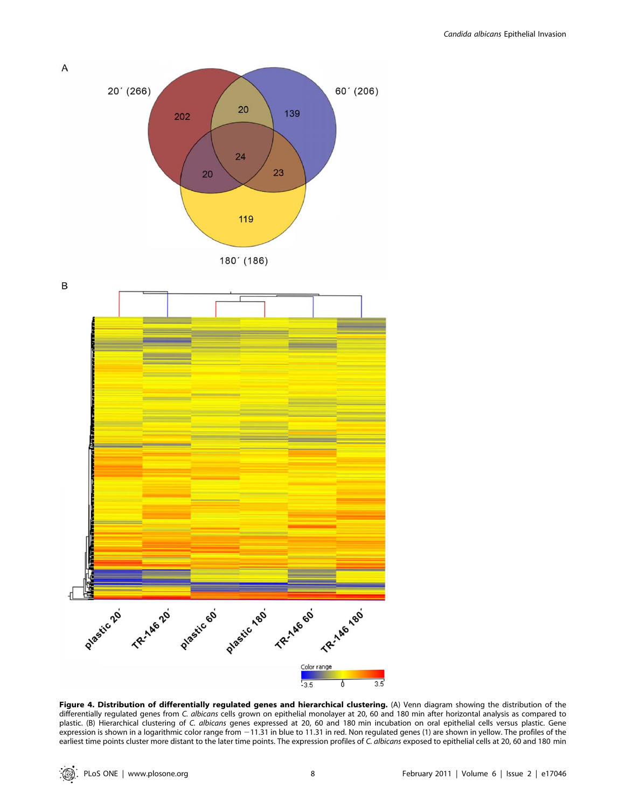

Figure 4. Distribution of differentially regulated genes and hierarchical clustering. (A) Venn diagram showing the distribution of the differentially regulated genes from C. albicans cells grown on epithelial monolayer at 20, 60 and 180 min after horizontal analysis as compared to plastic. (B) Hierarchical clustering of C. albicans genes expressed at 20, 60 and 180 min incubation on oral epithelial cells versus plastic. Gene expression is shown in a logarithmic color range from  $-11.31$  in blue to 11.31 in red. Non regulated genes (1) are shown in yellow. The profiles of the earliest time points cluster more distant to the later time points. The expression profiles of C. albicans exposed to epithelial cells at 20, 60 and 180 min

: @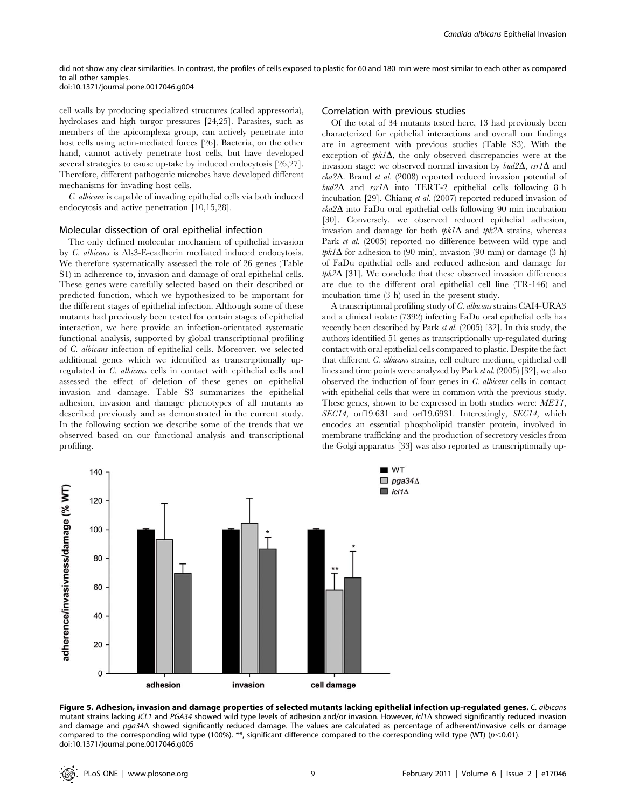#### did not show any clear similarities. In contrast, the profiles of cells exposed to plastic for 60 and 180 min were most similar to each other as compared to all other samples. doi:10.1371/journal.pone.0017046.g004

cell walls by producing specialized structures (called appressoria), hydrolases and high turgor pressures [24,25]. Parasites, such as members of the apicomplexa group, can actively penetrate into host cells using actin-mediated forces [26]. Bacteria, on the other hand, cannot actively penetrate host cells, but have developed several strategies to cause up-take by induced endocytosis [26,27]. Therefore, different pathogenic microbes have developed different mechanisms for invading host cells.

C. albicans is capable of invading epithelial cells via both induced endocytosis and active penetration [10,15,28].

#### Molecular dissection of oral epithelial infection

The only defined molecular mechanism of epithelial invasion by C. albicans is Als3-E-cadherin mediated induced endocytosis. We therefore systematically assessed the role of 26 genes (Table S1) in adherence to, invasion and damage of oral epithelial cells. These genes were carefully selected based on their described or predicted function, which we hypothesized to be important for the different stages of epithelial infection. Although some of these mutants had previously been tested for certain stages of epithelial interaction, we here provide an infection-orientated systematic functional analysis, supported by global transcriptional profiling of C. albicans infection of epithelial cells. Moreover, we selected additional genes which we identified as transcriptionally upregulated in C. albicans cells in contact with epithelial cells and assessed the effect of deletion of these genes on epithelial invasion and damage. Table S3 summarizes the epithelial adhesion, invasion and damage phenotypes of all mutants as described previously and as demonstrated in the current study. In the following section we describe some of the trends that we observed based on our functional analysis and transcriptional profiling.

#### Correlation with previous studies

Of the total of 34 mutants tested here, 13 had previously been characterized for epithelial interactions and overall our findings are in agreement with previous studies (Table S3). With the exception of  $tpk_1\Delta$ , the only observed discrepancies were at the invasion stage: we observed normal invasion by  $bud2\Delta$ ,  $rsr/\Delta$  and  $cka2\Delta$ . Brand et al. (2008) reported reduced invasion potential of  $bud2\Delta$  and  $rsrI\Delta$  into TERT-2 epithelial cells following 8 h incubation [29]. Chiang et al. (2007) reported reduced invasion of  $cka2\Delta$  into FaDu oral epithelial cells following 90 min incubation [30]. Conversely, we observed reduced epithelial adhesion, invasion and damage for both  $tpk1\Delta$  and  $tpk2\Delta$  strains, whereas Park *et al.* (2005) reported no difference between wild type and tpk1 $\Delta$  for adhesion to (90 min), invasion (90 min) or damage (3 h) of FaDu epithelial cells and reduced adhesion and damage for  $tpk2\Delta$  [31]. We conclude that these observed invasion differences are due to the different oral epithelial cell line (TR-146) and incubation time (3 h) used in the present study.

A transcriptional profiling study of C. albicans strains CAI4-URA3 and a clinical isolate (7392) infecting FaDu oral epithelial cells has recently been described by Park et al. (2005) [32]. In this study, the authors identified 51 genes as transcriptionally up-regulated during contact with oral epithelial cells compared to plastic. Despite the fact that different C. albicans strains, cell culture medium, epithelial cell lines and time points were analyzed by Park et al. (2005) [32], we also observed the induction of four genes in C. albicans cells in contact with epithelial cells that were in common with the previous study. These genes, shown to be expressed in both studies were: *MET1*, SEC14, orf19.631 and orf19.6931. Interestingly, SEC14, which encodes an essential phospholipid transfer protein, involved in membrane trafficking and the production of secretory vesicles from the Golgi apparatus [33] was also reported as transcriptionally up-



Figure 5. Adhesion, invasion and damage properties of selected mutants lacking epithelial infection up-regulated genes. C. albicans mutant strains lacking ICL1 and PGA34 showed wild type levels of adhesion and/or invasion. However, icl1 $\Delta$  showed significantly reduced invasion and damage and pga34 $\Delta$  showed significantly reduced damage. The values are calculated as percentage of adherent/invasive cells or damage compared to the corresponding wild type (100%). \*\*, significant difference compared to the corresponding wild type (WT) ( $p$ <0.01). doi:10.1371/journal.pone.0017046.g005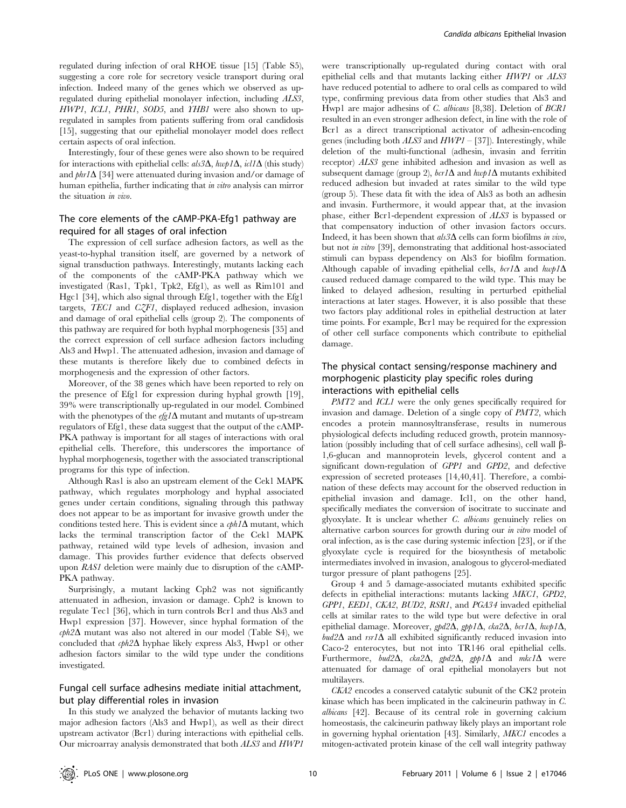regulated during infection of oral RHOE tissue [15] (Table S5), suggesting a core role for secretory vesicle transport during oral infection. Indeed many of the genes which we observed as upregulated during epithelial monolayer infection, including ALS3, HWP1, ICL1, PHR1, SOD5, and YHB1 were also shown to upregulated in samples from patients suffering from oral candidosis [15], suggesting that our epithelial monolayer model does reflect certain aspects of oral infection.

Interestingly, four of these genes were also shown to be required for interactions with epithelial cells:  $als3\Delta$ ,  $hwp1\Delta$ ,  $icl1\Delta$  (this study) and  $phr/\Delta$  [34] were attenuated during invasion and/or damage of human epithelia, further indicating that in vitro analysis can mirror the situation in vivo.

# The core elements of the cAMP-PKA-Efg1 pathway are required for all stages of oral infection

The expression of cell surface adhesion factors, as well as the yeast-to-hyphal transition itself, are governed by a network of signal transduction pathways. Interestingly, mutants lacking each of the components of the cAMP-PKA pathway which we investigated (Ras1, Tpk1, Tpk2, Efg1), as well as Rim101 and Hgc1 [34], which also signal through Efg1, together with the Efg1 targets, TEC1 and CZF1, displayed reduced adhesion, invasion and damage of oral epithelial cells (group 2). The components of this pathway are required for both hyphal morphogenesis [35] and the correct expression of cell surface adhesion factors including Als3 and Hwp1. The attenuated adhesion, invasion and damage of these mutants is therefore likely due to combined defects in morphogenesis and the expression of other factors.

Moreover, of the 38 genes which have been reported to rely on the presence of Efg1 for expression during hyphal growth [19], 39% were transcriptionally up-regulated in our model. Combined with the phenotypes of the  $\frac{efg}{\Delta}$  mutant and mutants of up-stream regulators of Efg1, these data suggest that the output of the cAMP-PKA pathway is important for all stages of interactions with oral epithelial cells. Therefore, this underscores the importance of hyphal morphogenesis, together with the associated transcriptional programs for this type of infection.

Although Ras1 is also an upstream element of the Cek1 MAPK pathway, which regulates morphology and hyphal associated genes under certain conditions, signaling through this pathway does not appear to be as important for invasive growth under the conditions tested here. This is evident since a  $cph1\Delta$  mutant, which lacks the terminal transcription factor of the Cek1 MAPK pathway, retained wild type levels of adhesion, invasion and damage. This provides further evidence that defects observed upon RAS1 deletion were mainly due to disruption of the cAMP-PKA pathway.

Surprisingly, a mutant lacking Cph2 was not significantly attenuated in adhesion, invasion or damage. Cph2 is known to regulate Tec1 [36], which in turn controls Bcr1 and thus Als3 and Hwp1 expression [37]. However, since hyphal formation of the  $\epsilon$ *ph* $2\Delta$  mutant was also not altered in our model (Table S4), we concluded that  $cph2\Delta$  hyphae likely express Als3, Hwp1 or other adhesion factors similar to the wild type under the conditions investigated.

## Fungal cell surface adhesins mediate initial attachment, but play differential roles in invasion

In this study we analyzed the behavior of mutants lacking two major adhesion factors (Als3 and Hwp1), as well as their direct upstream activator (Bcr1) during interactions with epithelial cells. Our microarray analysis demonstrated that both ALS3 and HWP1

were transcriptionally up-regulated during contact with oral epithelial cells and that mutants lacking either HWP1 or ALS3 have reduced potential to adhere to oral cells as compared to wild type, confirming previous data from other studies that Als3 and Hwp1 are major adhesins of C. albicans [8,38]. Deletion of BCR1 resulted in an even stronger adhesion defect, in line with the role of Bcr1 as a direct transcriptional activator of adhesin-encoding genes (including both  $ALS3$  and  $HWP1 - [37]$ ). Interestingly, while deletion of the multi-functional (adhesin, invasin and ferritin receptor) ALS3 gene inhibited adhesion and invasion as well as subsequent damage (group 2),  $\frac{b}{A}$  and  $\frac{h}{b}$  mutants exhibited reduced adhesion but invaded at rates similar to the wild type (group 5). These data fit with the idea of Als3 as both an adhesin and invasin. Furthermore, it would appear that, at the invasion phase, either Bcr1-dependent expression of ALS3 is bypassed or that compensatory induction of other invasion factors occurs. Indeed, it has been shown that  $\frac{ds}{d}$  cells can form biofilms in vivo, but not in vitro [39], demonstrating that additional host-associated stimuli can bypass dependency on Als3 for biofilm formation. Although capable of invading epithelial cells,  $bcr/\Delta$  and  $h\omega p/\Delta$ caused reduced damage compared to the wild type. This may be linked to delayed adhesion, resulting in perturbed epithelial interactions at later stages. However, it is also possible that these two factors play additional roles in epithelial destruction at later time points. For example, Bcr1 may be required for the expression of other cell surface components which contribute to epithelial damage.

# The physical contact sensing/response machinery and morphogenic plasticity play specific roles during interactions with epithelial cells

PMT2 and ICL1 were the only genes specifically required for invasion and damage. Deletion of a single copy of PMT2, which encodes a protein mannosyltransferase, results in numerous physiological defects including reduced growth, protein mannosylation (possibly including that of cell surface adhesins), cell wall  $\beta$ -1,6-glucan and mannoprotein levels, glycerol content and a significant down-regulation of GPP1 and GPD2, and defective expression of secreted proteases [14,40,41]. Therefore, a combination of these defects may account for the observed reduction in epithelial invasion and damage. Icl1, on the other hand, specifically mediates the conversion of isocitrate to succinate and glyoxylate. It is unclear whether C. albicans genuinely relies on alternative carbon sources for growth during our in vitro model of oral infection, as is the case during systemic infection [23], or if the glyoxylate cycle is required for the biosynthesis of metabolic intermediates involved in invasion, analogous to glycerol-mediated turgor pressure of plant pathogens [25].

Group 4 and 5 damage-associated mutants exhibited specific defects in epithelial interactions: mutants lacking MKC1, GPD2, GPP1, EED1, CKA2, BUD2, RSR1, and PGA34 invaded epithelial cells at similar rates to the wild type but were defective in oral epithelial damage. Moreover,  $gbd2\Delta$ ,  $gpp1\Delta$ ,  $cka2\Delta$ ,  $bcr1\Delta$ ,  $hwp1\Delta$ ,  $bud2\Delta$  and rsr1 $\Delta$  all exhibited significantly reduced invasion into Caco-2 enterocytes, but not into TR146 oral epithelial cells. Furthermore, bud2 $\Delta$ , cka2 $\Delta$ , gpd2 $\Delta$ , gpp1 $\Delta$  and mkc1 $\Delta$  were attenuated for damage of oral epithelial monolayers but not multilayers.

CKA2 encodes a conserved catalytic subunit of the CK2 protein kinase which has been implicated in the calcineurin pathway in C. albicans [42]. Because of its central role in governing calcium homeostasis, the calcineurin pathway likely plays an important role in governing hyphal orientation [43]. Similarly, MKC1 encodes a mitogen-activated protein kinase of the cell wall integrity pathway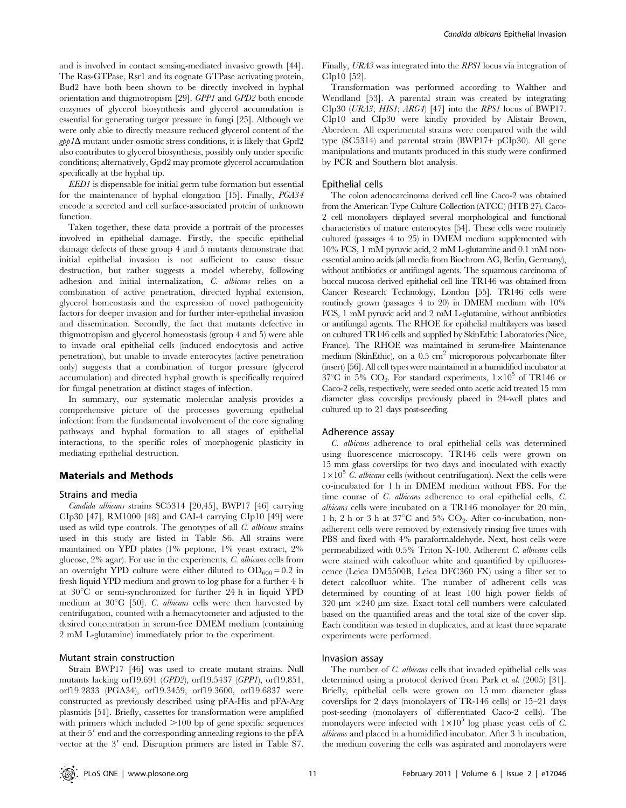and is involved in contact sensing-mediated invasive growth [44]. The Ras-GTPase, Rsr1 and its cognate GTPase activating protein, Bud2 have both been shown to be directly involved in hyphal orientation and thigmotropism [29]. GPP1 and GPD2 both encode enzymes of glycerol biosynthesis and glycerol accumulation is essential for generating turgor pressure in fungi [25]. Although we were only able to directly measure reduced glycerol content of the  $gpp1\Delta$  mutant under osmotic stress conditions, it is likely that Gpd2 also contributes to glycerol biosynthesis, possibly only under specific conditions; alternatively, Gpd2 may promote glycerol accumulation specifically at the hyphal tip.

EED1 is dispensable for initial germ tube formation but essential for the maintenance of hyphal elongation [15]. Finally, PGA34 encode a secreted and cell surface-associated protein of unknown function.

Taken together, these data provide a portrait of the processes involved in epithelial damage. Firstly, the specific epithelial damage defects of these group 4 and 5 mutants demonstrate that initial epithelial invasion is not sufficient to cause tissue destruction, but rather suggests a model whereby, following adhesion and initial internalization, C. albicans relies on a combination of active penetration, directed hyphal extension, glycerol homeostasis and the expression of novel pathogenicity factors for deeper invasion and for further inter-epithelial invasion and dissemination. Secondly, the fact that mutants defective in thigmotropism and glycerol homeostasis (group 4 and 5) were able to invade oral epithelial cells (induced endocytosis and active penetration), but unable to invade enterocytes (active penetration only) suggests that a combination of turgor pressure (glycerol accumulation) and directed hyphal growth is specifically required for fungal penetration at distinct stages of infection.

In summary, our systematic molecular analysis provides a comprehensive picture of the processes governing epithelial infection: from the fundamental involvement of the core signaling pathways and hyphal formation to all stages of epithelial interactions, to the specific roles of morphogenic plasticity in mediating epithelial destruction.

#### Materials and Methods

#### Strains and media

Candida albicans strains SC5314 [20,45], BWP17 [46] carrying CIp30 [47], RM1000 [48] and CAI-4 carrying CIp10 [49] were used as wild type controls. The genotypes of all C. albicans strains used in this study are listed in Table S6. All strains were maintained on YPD plates (1% peptone, 1% yeast extract, 2% glucose, 2% agar). For use in the experiments, C. albicans cells from an overnight YPD culture were either diluted to  $OD_{600} = 0.2$  in fresh liquid YPD medium and grown to log phase for a further 4 h at  $30^{\circ}$ C or semi-synchronized for further 24 h in liquid YPD medium at  $30^{\circ}$ C [50]. *C. albicans* cells were then harvested by centrifugation, counted with a hemacytometer and adjusted to the desired concentration in serum-free DMEM medium (containing 2 mM L-glutamine) immediately prior to the experiment.

#### Mutant strain construction

Strain BWP17 [46] was used to create mutant strains. Null mutants lacking orf19.691 (GPD2), orf19.5437 (GPP1), orf19.851, orf19.2833 (PGA34), orf19.3459, orf19.3600, orf19.6837 were constructed as previously described using pFA-His and pFA-Arg plasmids [51]. Briefly, cassettes for transformation were amplified with primers which included  $>100$  bp of gene specific sequences at their  $5'$  end and the corresponding annealing regions to the  $pFA$ vector at the 3' end. Disruption primers are listed in Table S7.

Finally, URA3 was integrated into the RPS1 locus via integration of CIp10 [52].

Transformation was performed according to Walther and Wendland [53]. A parental strain was created by integrating CIp30 (URA3; HIS1; ARG4) [47] into the RPS1 locus of BWP17. CIp10 and CIp30 were kindly provided by Alistair Brown, Aberdeen. All experimental strains were compared with the wild type (SC5314) and parental strain (BWP17+ pCIp30). All gene manipulations and mutants produced in this study were confirmed by PCR and Southern blot analysis.

#### Epithelial cells

The colon adenocarcinoma derived cell line Caco-2 was obtained from the American Type Culture Collection (ATCC) (HTB 27). Caco-2 cell monolayers displayed several morphological and functional characteristics of mature enterocytes [54]. These cells were routinely cultured (passages 4 to 25) in DMEM medium supplemented with 10% FCS, 1 mM pyruvic acid, 2 mM L-glutamine and 0.1 mM nonessential amino acids (all media from Biochrom AG, Berlin, Germany), without antibiotics or antifungal agents. The squamous carcinoma of buccal mucosa derived epithelial cell line TR146 was obtained from Cancer Research Technology, London [55]. TR146 cells were routinely grown (passages 4 to 20) in DMEM medium with 10% FCS, 1 mM pyruvic acid and 2 mM L-glutamine, without antibiotics or antifungal agents. The RHOE for epithelial multilayers was based on cultured TR146 cells and supplied by SkinEthic Laboratories (Nice, France). The RHOE was maintained in serum-free Maintenance medium (SkinEthic), on a 0.5 cm<sup>2</sup> microporous polycarbonate filter (insert) [56]. All cell types were maintained in a humidified incubator at  $37^{\circ}$ C in 5% CO<sub>2</sub>. For standard experiments,  $1\times10^{5}$  of TR146 or Caco-2 cells, respectively, were seeded onto acetic acid treated 15 mm diameter glass coverslips previously placed in 24-well plates and cultured up to 21 days post-seeding.

#### Adherence assay

C. albicans adherence to oral epithelial cells was determined using fluorescence microscopy. TR146 cells were grown on 15 mm glass coverslips for two days and inoculated with exactly  $1\times10^5$  C. albicans cells (without centrifugation). Next the cells were co-incubated for 1 h in DMEM medium without FBS. For the time course of C. albicans adherence to oral epithelial cells, C. albicans cells were incubated on a TR146 monolayer for 20 min, 1 h, 2 h or 3 h at  $37^{\circ}$ C and 5%  $CO_2$ . After co-incubation, nonadherent cells were removed by extensively rinsing five times with PBS and fixed with 4% paraformaldehyde. Next, host cells were permeabilized with 0.5% Triton X-100. Adherent C. albicans cells were stained with calcofluor white and quantified by epifluorescence (Leica DM5500B, Leica DFC360 FX) using a filter set to detect calcofluor white. The number of adherent cells was determined by counting of at least 100 high power fields of  $320 \text{ µm} \times 240 \text{ µm}$  size. Exact total cell numbers were calculated based on the quantified areas and the total size of the cover slip. Each condition was tested in duplicates, and at least three separate experiments were performed.

#### Invasion assay

The number of *C. albicans* cells that invaded epithelial cells was determined using a protocol derived from Park et al. (2005) [31]. Briefly, epithelial cells were grown on 15 mm diameter glass coverslips for 2 days (monolayers of TR-146 cells) or 15–21 days post-seeding (monolayers of differentiated Caco-2 cells). The monolayers were infected with  $1\times10^5$  log phase yeast cells of C. albicans and placed in a humidified incubator. After 3 h incubation, the medium covering the cells was aspirated and monolayers were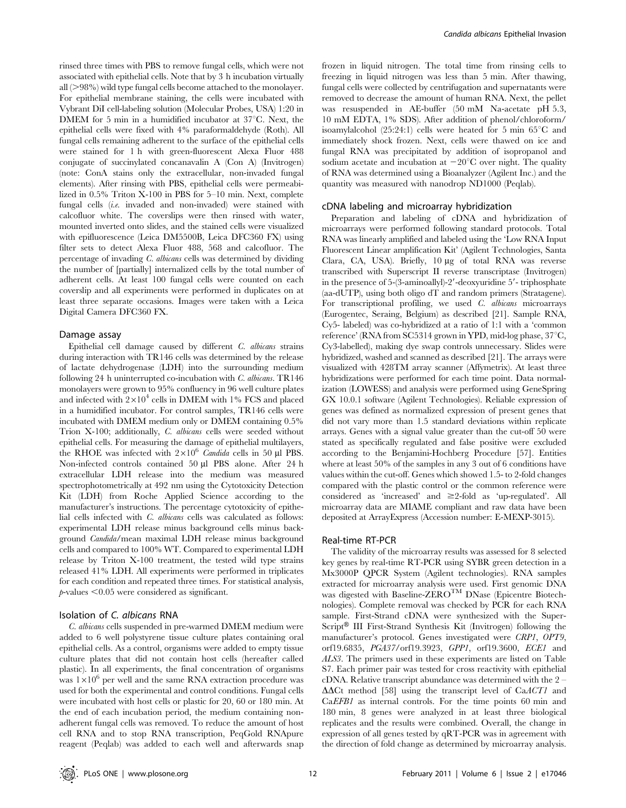rinsed three times with PBS to remove fungal cells, which were not associated with epithelial cells. Note that by 3 h incubation virtually all  $(>98\%)$  wild type fungal cells become attached to the monolayer. For epithelial membrane staining, the cells were incubated with Vybrant DiI cell-labeling solution (Molecular Probes, USA) 1:20 in DMEM for 5 min in a humidified incubator at  $37^{\circ}$ C. Next, the epithelial cells were fixed with 4% paraformaldehyde (Roth). All fungal cells remaining adherent to the surface of the epithelial cells were stained for 1 h with green-fluorescent Alexa Fluor 488 conjugate of succinylated concanavalin A (Con A) (Invitrogen) (note: ConA stains only the extracellular, non-invaded fungal elements). After rinsing with PBS, epithelial cells were permeabilized in 0.5% Triton X-100 in PBS for 5–10 min. Next, complete fungal cells (i.e. invaded and non-invaded) were stained with calcofluor white. The coverslips were then rinsed with water, mounted inverted onto slides, and the stained cells were visualized with epifluorescence (Leica DM5500B, Leica DFC360 FX) using filter sets to detect Alexa Fluor 488, 568 and calcofluor. The percentage of invading C. albicans cells was determined by dividing the number of [partially] internalized cells by the total number of adherent cells. At least 100 fungal cells were counted on each coverslip and all experiments were performed in duplicates on at least three separate occasions. Images were taken with a Leica Digital Camera DFC360 FX.

#### Damage assay

Epithelial cell damage caused by different C. albicans strains during interaction with TR146 cells was determined by the release of lactate dehydrogenase (LDH) into the surrounding medium following 24 h uninterrupted co-incubation with  $C$ . albicans.  $TR146$ monolayers were grown to 95% confluency in 96 well culture plates and infected with  $2\times10^4$  cells in DMEM with 1% FCS and placed in a humidified incubator. For control samples, TR146 cells were incubated with DMEM medium only or DMEM containing 0.5% Trion X-100; additionally, C. albicans cells were seeded without epithelial cells. For measuring the damage of epithelial multilayers, the RHOE was infected with  $2\times10^6$  Candida cells in 50 µl PBS. Non-infected controls contained 50 µl PBS alone. After 24 h extracellular LDH release into the medium was measured spectrophotometrically at 492 nm using the Cytotoxicity Detection Kit (LDH) from Roche Applied Science according to the manufacturer's instructions. The percentage cytotoxicity of epithelial cells infected with C. albicans cells was calculated as follows: experimental LDH release minus background cells minus background Candida/mean maximal LDH release minus background cells and compared to 100% WT. Compared to experimental LDH release by Triton X-100 treatment, the tested wild type strains released 41% LDH. All experiments were performed in triplicates for each condition and repeated three times. For statistical analysis,  $p$ -values  $\leq 0.05$  were considered as significant.

## Isolation of C. albicans RNA

C. albicans cells suspended in pre-warmed DMEM medium were added to 6 well polystyrene tissue culture plates containing oral epithelial cells. As a control, organisms were added to empty tissue culture plates that did not contain host cells (hereafter called plastic). In all experiments, the final concentration of organisms was  $1\times10^{6}$  per well and the same RNA extraction procedure was used for both the experimental and control conditions. Fungal cells were incubated with host cells or plastic for 20, 60 or 180 min. At the end of each incubation period, the medium containing nonadherent fungal cells was removed. To reduce the amount of host cell RNA and to stop RNA transcription, PeqGold RNApure reagent (Peqlab) was added to each well and afterwards snap

frozen in liquid nitrogen. The total time from rinsing cells to freezing in liquid nitrogen was less than 5 min. After thawing, fungal cells were collected by centrifugation and supernatants were removed to decrease the amount of human RNA. Next, the pellet was resuspended in AE-buffer (50 mM Na-acetate pH 5.3, 10 mM EDTA, 1% SDS). After addition of phenol/chloroform/ isoamylalcohol  $(25:24:1)$  cells were heated for 5 min 65<sup>°</sup>C and immediately shock frozen. Next, cells were thawed on ice and fungal RNA was precipitated by addition of isopropanol and sodium acetate and incubation at  $-20^{\circ}$ C over night. The quality of RNA was determined using a Bioanalyzer (Agilent Inc.) and the quantity was measured with nanodrop ND1000 (Peqlab).

#### cDNA labeling and microarray hybridization

Preparation and labeling of cDNA and hybridization of microarrays were performed following standard protocols. Total RNA was linearly amplified and labeled using the 'Low RNA Input Fluorescent Linear amplification Kit' (Agilent Technologies, Santa Clara, CA, USA). Briefly, 10 µg of total RNA was reverse transcribed with Superscript II reverse transcriptase (Invitrogen) in the presence of  $5-(3-annin oallyl)-2'-deoxyuridine  $5'-$ triphosphate$ (aa-dUTP), using both oligo dT and random primers (Stratagene). For transcriptional profiling, we used C. albicans microarrays (Eurogentec, Seraing, Belgium) as described [21]. Sample RNA, Cy5- labeled) was co-hybridized at a ratio of 1:1 with a 'common reference' (RNA from SC5314 grown in YPD, mid-log phase,  $37^{\circ}$ C, Cy3-labelled), making dye swap controls unnecessary. Slides were hybridized, washed and scanned as described [21]. The arrays were visualized with 428TM array scanner (Affymetrix). At least three hybridizations were performed for each time point. Data normalization (LOWESS) and analysis were performed using GeneSpring GX 10.0.1 software (Agilent Technologies). Reliable expression of genes was defined as normalized expression of present genes that did not vary more than 1.5 standard deviations within replicate arrays. Genes with a signal value greater than the cut-off 50 were stated as specifically regulated and false positive were excluded according to the Benjamini-Hochberg Procedure [57]. Entities where at least 50% of the samples in any 3 out of 6 conditions have values within the cut-off. Genes which showed 1.5- to 2-fold changes compared with the plastic control or the common reference were considered as 'increased' and \$2-fold as 'up-regulated'. All microarray data are MIAME compliant and raw data have been deposited at ArrayExpress (Accession number: E-MEXP-3015).

#### Real-time RT-PCR

The validity of the microarray results was assessed for 8 selected key genes by real-time RT-PCR using SYBR green detection in a Mx3000P QPCR System (Agilent technologies). RNA samples extracted for microarray analysis were used. First genomic DNA was digested with Baseline-ZEROTM DNase (Epicentre Biotechnologies). Complete removal was checked by PCR for each RNA sample. First-Strand cDNA were synthesized with the Super- $Script^{\circledR}$  III First-Strand Synthesis Kit (Invitrogen) following the manufacturer's protocol. Genes investigated were CRP1, OPT9, orf19.6835, PGA37/orf19.3923, GPP1, orf19.3600, ECE1 and ALS3. The primers used in these experiments are listed on Table S7. Each primer pair was tested for cross reactivity with epithelial cDNA. Relative transcript abundance was determined with the 2 –  $\Delta \Delta$ Ct method [58] using the transcript level of CaACT1 and CaEFB1 as internal controls. For the time points 60 min and 180 min, 8 genes were analyzed in at least three biological replicates and the results were combined. Overall, the change in expression of all genes tested by qRT-PCR was in agreement with the direction of fold change as determined by microarray analysis.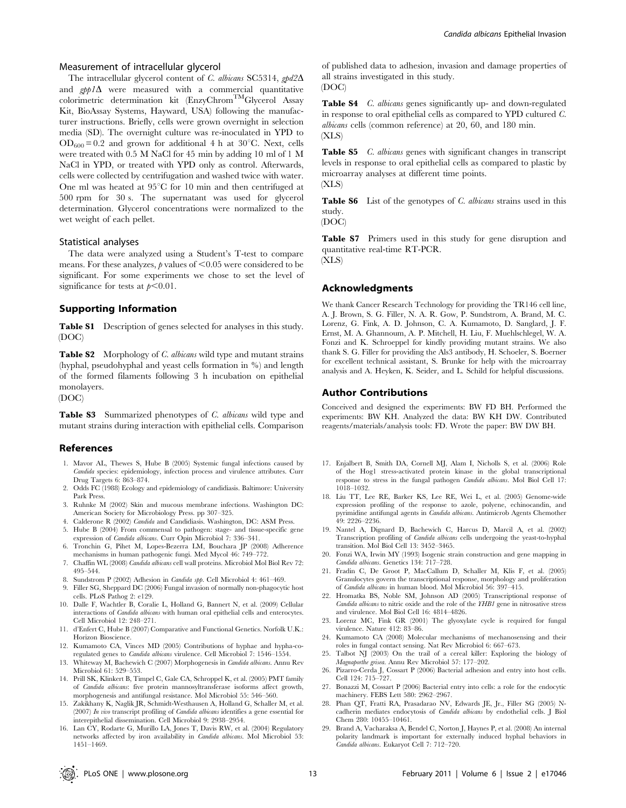### Measurement of intracellular glycerol

The intracellular glycerol content of C. albicans SC5314, gpd2 $\Delta$ and  $gpp1\Delta$  were measured with a commercial quantitative colorimetric determination kit (EnzyChromTMGlycerol Assay Kit, BioAssay Systems, Hayward, USA) following the manufacturer instructions. Briefly, cells were grown overnight in selection media (SD). The overnight culture was re-inoculated in YPD to  $OD_{600} = 0.2$  and grown for additional 4 h at 30°C. Next, cells were treated with 0.5 M NaCl for 45 min by adding 10 ml of 1 M NaCl in YPD, or treated with YPD only as control. Afterwards, cells were collected by centrifugation and washed twice with water. One ml was heated at  $95^{\circ}$ C for 10 min and then centrifuged at 500 rpm for 30 s. The supernatant was used for glycerol determination. Glycerol concentrations were normalized to the wet weight of each pellet.

#### Statistical analyses

The data were analyzed using a Student's T-test to compare means. For these analyzes,  $p$  values of  $<$ 0.05 were considered to be significant. For some experiments we chose to set the level of significance for tests at  $p<0.01$ .

#### Supporting Information

Table S1 Description of genes selected for analyses in this study. (DOC)

Table S2 Morphology of C. albicans wild type and mutant strains (hyphal, pseudohyphal and yeast cells formation in %) and length of the formed filaments following 3 h incubation on epithelial monolayers.

#### (DOC)

Table S3 Summarized phenotypes of C. albicans wild type and mutant strains during interaction with epithelial cells. Comparison

#### References

- 1. Mavor AL, Thewes S, Hube B (2005) Systemic fungal infections caused by Candida species: epidemiology, infection process and virulence attributes. Curr Drug Targets 6: 863–874.
- 2. Odds FC (1988) Ecology and epidemiology of candidiasis. Baltimore: University Park Press.
- 3. Ruhnke M (2002) Skin and mucous membrane infections. Washington DC: American Society for Microbiology Press. pp 307–325.
- 4. Calderone R (2002) Candida and Candidiasis. Washington, DC: ASM Press.
- 5. Hube B (2004) From commensal to pathogen: stage- and tissue-specific gene expression of Candida albicans. Curr Opin Microbiol 7: 336-341.
- 6. Tronchin G, Pihet M, Lopes-Bezerra LM, Bouchara JP (2008) Adherence mechanisms in human pathogenic fungi. Med Mycol 46: 749–772.
- 7. Chaffin WL (2008) Candida albicans cell wall proteins. Microbiol Mol Biol Rev 72: 495–544.
- 8. Sundstrom P (2002) Adhesion in Candida spp. Cell Microbiol 4: 461–469.
- 9. Filler SG, Sheppard DC (2006) Fungal invasion of normally non-phagocytic host cells. PLoS Pathog 2: e129.
- 10. Dalle F, Wachtler B, Coralie L, Holland G, Bannert N, et al. (2009) Cellular interactions of Candida albicans with human oral epithelial cells and enterocytes. Cell Microbiol 12: 248–271.
- 11. d'Enfert C, Hube B (2007) Comparative and Functional Genetics. Norfolk U.K.: Horizon Bioscience.
- 12. Kumamoto CA, Vinces MD (2005) Contributions of hyphae and hypha-coregulated genes to Candida albicans virulence. Cell Microbiol 7: 1546–1554.
- 13. Whiteway M, Bachewich C (2007) Morphogenesis in Candida albicans. Annu Rev Microbiol 61: 529–553.
- 14. Prill SK, Klinkert B, Timpel C, Gale CA, Schroppel K, et al. (2005) PMT family of Candida albicans: five protein mannosyltransferase isoforms affect growth, morphogenesis and antifungal resistance. Mol Microbiol 55: 546–560.
- 15. Zakikhany K, Naglik JR, Schmidt-Westhausen A, Holland G, Schaller M, et al. (2007) In vivo transcript profiling of Candida albicans identifies a gene essential for interepithelial dissemination. Cell Microbiol 9: 2938–2954.
- 16. Lan CY, Rodarte G, Murillo LA, Jones T, Davis RW, et al. (2004) Regulatory networks affected by iron availability in Candida albicans. Mol Microbiol 53: 1451–1469.

of published data to adhesion, invasion and damage properties of all strains investigated in this study. (DOC)

Table S4 C. albicans genes significantly up- and down-regulated in response to oral epithelial cells as compared to YPD cultured C. albicans cells (common reference) at 20, 60, and 180 min. (XLS)

Table S5 *C. albicans* genes with significant changes in transcript levels in response to oral epithelial cells as compared to plastic by microarray analyses at different time points. (XLS)

Table S6 List of the genotypes of C. albicans strains used in this study.

(DOC)

Table S7 Primers used in this study for gene disruption and quantitative real-time RT-PCR. (XLS)

#### Acknowledgments

We thank Cancer Research Technology for providing the TR146 cell line, A. J. Brown, S. G. Filler, N. A. R. Gow, P. Sundstrom, A. Brand, M. C. Lorenz, G. Fink, A. D. Johnson, C. A. Kumamoto, D. Sanglard, J. F. Ernst, M. A. Ghannoum, A. P. Mitchell, H. Liu, F. Muehlschlegel, W. A. Fonzi and K. Schroeppel for kindly providing mutant strains. We also thank S. G. Filler for providing the Als3 antibody, H. Schoeler, S. Boerner for excellent technical assistant, S. Brunke for help with the microarray analysis and A. Heyken, K. Seider, and L. Schild for helpful discussions.

#### Author Contributions

Conceived and designed the experiments: BW FD BH. Performed the experiments: BW KH. Analyzed the data: BW KH DW. Contributed reagents/materials/analysis tools: FD. Wrote the paper: BW DW BH.

- 17. Enjalbert B, Smith DA, Cornell MJ, Alam I, Nicholls S, et al. (2006) Role of the Hog1 stress-activated protein kinase in the global transcriptional response to stress in the fungal pathogen Candida albicans. Mol Biol Cell 17: 1018–1032.
- 18. Liu TT, Lee RE, Barker KS, Lee RE, Wei L, et al. (2005) Genome-wide expression profiling of the response to azole, polyene, echinocandin, and pyrimidine antifungal agents in Candida albicans. Antimicrob Agents Chemother 49: 2226–2236.
- 19. Nantel A, Dignard D, Bachewich C, Harcus D, Marcil A, et al. (2002) Transcription profiling of Candida albicans cells undergoing the yeast-to-hyphal transition. Mol Biol Cell 13: 3452–3465.
- 20. Fonzi WA, Irwin MY (1993) Isogenic strain construction and gene mapping in Candida albicans. Genetics 134: 717–728.
- 21. Fradin C, De Groot P, MacCallum D, Schaller M, Klis F, et al. (2005) Granulocytes govern the transcriptional response, morphology and proliferation of Candida albicans in human blood. Mol Microbiol 56: 397–415.
- 22. Hromatka BS, Noble SM, Johnson AD (2005) Transcriptional response of Candida albicans to nitric oxide and the role of the YHB1 gene in nitrosative stress and virulence. Mol Biol Cell 16: 4814–4826.
- 23. Lorenz MC, Fink GR (2001) The glyoxylate cycle is required for fungal virulence. Nature 412: 83–86.
- 24. Kumamoto CA (2008) Molecular mechanisms of mechanosensing and their roles in fungal contact sensing. Nat Rev Microbiol 6: 667–673.
- 25. Talbot NJ (2003) On the trail of a cereal killer: Exploring the biology of Magnaporthe grisea. Annu Rev Microbiol 57: 177–202.
- 26. Pizarro-Cerda J, Cossart P (2006) Bacterial adhesion and entry into host cells. Cell 124: 715–727.
- 27. Bonazzi M, Cossart P (2006) Bacterial entry into cells: a role for the endocytic machinery. FEBS Lett 580: 2962–2967.
- 28. Phan QT, Fratti RA, Prasadarao NV, Edwards JE, Jr., Filler SG (2005) Ncadherin mediates endocytosis of Candida albicans by endothelial cells. J Biol Chem 280: 10455–10461.
- 29. Brand A, Vacharaksa A, Bendel C, Norton J, Haynes P, et al. (2008) An internal polarity landmark is important for externally induced hyphal behaviors in Candida albicans. Eukaryot Cell 7: 712–720.